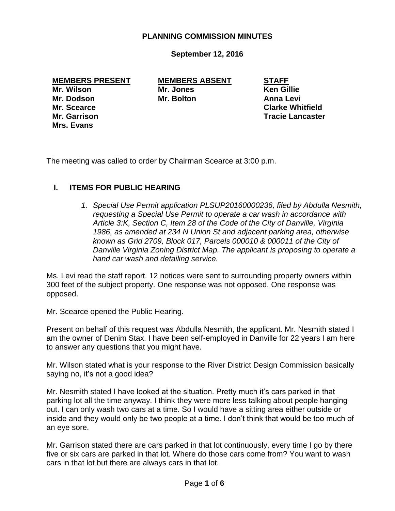### **PLANNING COMMISSION MINUTES**

**September 12, 2016**

#### **MEMBERS PRESENT MEMBERS ABSENT STAFF**

**Mrs. Evans**

**Mr. Wilson Mr. Jones Ken Gillie Mr. Dodson Mr. Bolton Anna Levi**

**Mr. Scearce Clarke Whitfield Mr. Garrison Tracie Lancaster**

The meeting was called to order by Chairman Scearce at 3:00 p.m.

## **I. ITEMS FOR PUBLIC HEARING**

1. Special Use Permit application PLSUP20160000236, filed by Abdulla Nesmith, *requesting a Special Use Permit to operate a car wash in accordance with Article 3:K, Section C, Item 28 of the Code of the City of Danville, Virginia 1986, as amended at 234 N Union St and adjacent parking area, otherwise known as Grid 2709, Block 017, Parcels 000010 & 000011 of the City of Danville Virginia Zoning District Map. The applicant is proposing to operate a hand car wash and detailing service.* 

Ms. Levi read the staff report. 12 notices were sent to surrounding property owners within 300 feet of the subject property. One response was not opposed. One response was opposed.

Mr. Scearce opened the Public Hearing.

Present on behalf of this request was Abdulla Nesmith, the applicant. Mr. Nesmith stated I am the owner of Denim Stax. I have been self-employed in Danville for 22 years I am here to answer any questions that you might have.

Mr. Wilson stated what is your response to the River District Design Commission basically saying no, it's not a good idea?

Mr. Nesmith stated I have looked at the situation. Pretty much it's cars parked in that parking lot all the time anyway. I think they were more less talking about people hanging out. I can only wash two cars at a time. So I would have a sitting area either outside or inside and they would only be two people at a time. I don't think that would be too much of an eye sore.

Mr. Garrison stated there are cars parked in that lot continuously, every time I go by there five or six cars are parked in that lot. Where do those cars come from? You want to wash cars in that lot but there are always cars in that lot.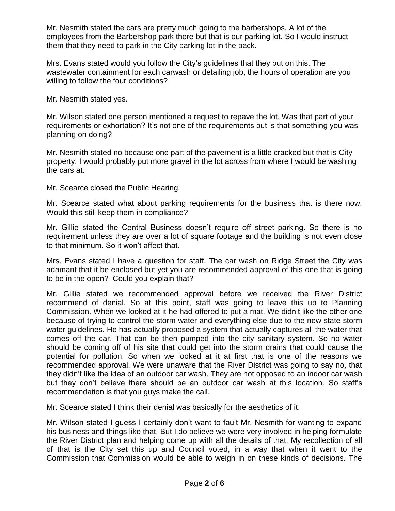Mr. Nesmith stated the cars are pretty much going to the barbershops. A lot of the employees from the Barbershop park there but that is our parking lot. So I would instruct them that they need to park in the City parking lot in the back.

Mrs. Evans stated would you follow the City's guidelines that they put on this. The wastewater containment for each carwash or detailing job, the hours of operation are you willing to follow the four conditions?

Mr. Nesmith stated yes.

Mr. Wilson stated one person mentioned a request to repave the lot. Was that part of your requirements or exhortation? It's not one of the requirements but is that something you was planning on doing?

Mr. Nesmith stated no because one part of the pavement is a little cracked but that is City property. I would probably put more gravel in the lot across from where I would be washing the cars at.

Mr. Scearce closed the Public Hearing.

Mr. Scearce stated what about parking requirements for the business that is there now. Would this still keep them in compliance?

Mr. Gillie stated the Central Business doesn't require off street parking. So there is no requirement unless they are over a lot of square footage and the building is not even close to that minimum. So it won't affect that.

Mrs. Evans stated I have a question for staff. The car wash on Ridge Street the City was adamant that it be enclosed but yet you are recommended approval of this one that is going to be in the open? Could you explain that?

Mr. Gillie stated we recommended approval before we received the River District recommend of denial. So at this point, staff was going to leave this up to Planning Commission. When we looked at it he had offered to put a mat. We didn't like the other one because of trying to control the storm water and everything else due to the new state storm water guidelines. He has actually proposed a system that actually captures all the water that comes off the car. That can be then pumped into the city sanitary system. So no water should be coming off of his site that could get into the storm drains that could cause the potential for pollution. So when we looked at it at first that is one of the reasons we recommended approval. We were unaware that the River District was going to say no, that they didn't like the idea of an outdoor car wash. They are not opposed to an indoor car wash but they don't believe there should be an outdoor car wash at this location. So staff's recommendation is that you guys make the call.

Mr. Scearce stated I think their denial was basically for the aesthetics of it.

Mr. Wilson stated I guess I certainly don't want to fault Mr. Nesmith for wanting to expand his business and things like that. But I do believe we were very involved in helping formulate the River District plan and helping come up with all the details of that. My recollection of all of that is the City set this up and Council voted, in a way that when it went to the Commission that Commission would be able to weigh in on these kinds of decisions. The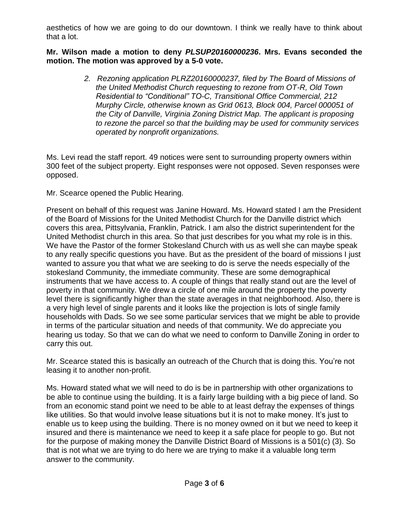aesthetics of how we are going to do our downtown. I think we really have to think about that a lot.

#### **Mr. Wilson made a motion to deny** *PLSUP20160000236***. Mrs. Evans seconded the motion. The motion was approved by a 5-0 vote.**

*2. Rezoning application PLRZ20160000237, filed by The Board of Missions of the United Methodist Church requesting to rezone from OT-R, Old Town Residential to "Conditional" TO-C, Transitional Office Commercial, 212 Murphy Circle, otherwise known as Grid 0613, Block 004, Parcel 000051 of the City of Danville, Virginia Zoning District Map. The applicant is proposing to rezone the parcel so that the building may be used for community services operated by nonprofit organizations.* 

Ms. Levi read the staff report. 49 notices were sent to surrounding property owners within 300 feet of the subject property. Eight responses were not opposed. Seven responses were opposed.

Mr. Scearce opened the Public Hearing.

Present on behalf of this request was Janine Howard. Ms. Howard stated I am the President of the Board of Missions for the United Methodist Church for the Danville district which covers this area, Pittsylvania, Franklin, Patrick. I am also the district superintendent for the United Methodist church in this area. So that just describes for you what my role is in this. We have the Pastor of the former Stokesland Church with us as well she can maybe speak to any really specific questions you have. But as the president of the board of missions I just wanted to assure you that what we are seeking to do is serve the needs especially of the stokesland Community, the immediate community. These are some demographical instruments that we have access to. A couple of things that really stand out are the level of poverty in that community. We drew a circle of one mile around the property the poverty level there is significantly higher than the state averages in that neighborhood. Also, there is a very high level of single parents and it looks like the projection is lots of single family households with Dads. So we see some particular services that we might be able to provide in terms of the particular situation and needs of that community. We do appreciate you hearing us today. So that we can do what we need to conform to Danville Zoning in order to carry this out.

Mr. Scearce stated this is basically an outreach of the Church that is doing this. You're not leasing it to another non-profit.

Ms. Howard stated what we will need to do is be in partnership with other organizations to be able to continue using the building. It is a fairly large building with a big piece of land. So from an economic stand point we need to be able to at least defray the expenses of things like utilities. So that would involve lease situations but it is not to make money. It's just to enable us to keep using the building. There is no money owned on it but we need to keep it insured and there is maintenance we need to keep it a safe place for people to go. But not for the purpose of making money the Danville District Board of Missions is a 501(c) (3). So that is not what we are trying to do here we are trying to make it a valuable long term answer to the community.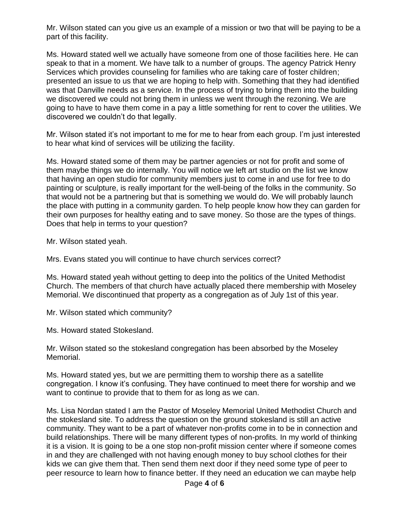Mr. Wilson stated can you give us an example of a mission or two that will be paying to be a part of this facility.

Ms. Howard stated well we actually have someone from one of those facilities here. He can speak to that in a moment. We have talk to a number of groups. The agency Patrick Henry Services which provides counseling for families who are taking care of foster children; presented an issue to us that we are hoping to help with. Something that they had identified was that Danville needs as a service. In the process of trying to bring them into the building we discovered we could not bring them in unless we went through the rezoning. We are going to have to have them come in a pay a little something for rent to cover the utilities. We discovered we couldn't do that legally.

Mr. Wilson stated it's not important to me for me to hear from each group. I'm just interested to hear what kind of services will be utilizing the facility.

Ms. Howard stated some of them may be partner agencies or not for profit and some of them maybe things we do internally. You will notice we left art studio on the list we know that having an open studio for community members just to come in and use for free to do painting or sculpture, is really important for the well-being of the folks in the community. So that would not be a partnering but that is something we would do. We will probably launch the place with putting in a community garden. To help people know how they can garden for their own purposes for healthy eating and to save money. So those are the types of things. Does that help in terms to your question?

Mr. Wilson stated yeah.

Mrs. Evans stated you will continue to have church services correct?

Ms. Howard stated yeah without getting to deep into the politics of the United Methodist Church. The members of that church have actually placed there membership with Moseley Memorial. We discontinued that property as a congregation as of July 1st of this year.

Mr. Wilson stated which community?

Ms. Howard stated Stokesland.

Mr. Wilson stated so the stokesland congregation has been absorbed by the Moseley Memorial.

Ms. Howard stated yes, but we are permitting them to worship there as a satellite congregation. I know it's confusing. They have continued to meet there for worship and we want to continue to provide that to them for as long as we can.

Ms. Lisa Nordan stated I am the Pastor of Moseley Memorial United Methodist Church and the stokesland site. To address the question on the ground stokesland is still an active community. They want to be a part of whatever non-profits come in to be in connection and build relationships. There will be many different types of non-profits. In my world of thinking it is a vision. It is going to be a one stop non-profit mission center where if someone comes in and they are challenged with not having enough money to buy school clothes for their kids we can give them that. Then send them next door if they need some type of peer to peer resource to learn how to finance better. If they need an education we can maybe help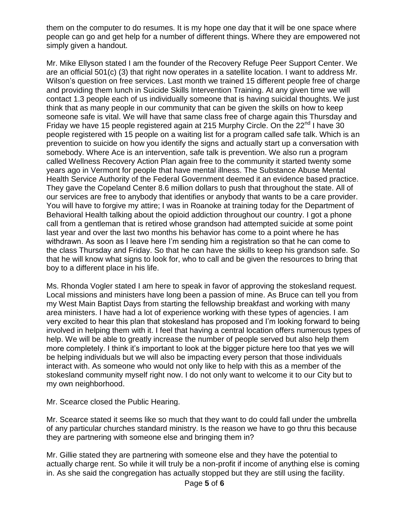them on the computer to do resumes. It is my hope one day that it will be one space where people can go and get help for a number of different things. Where they are empowered not simply given a handout.

Mr. Mike Ellyson stated I am the founder of the Recovery Refuge Peer Support Center. We are an official 501(c) (3) that right now operates in a satellite location. I want to address Mr. Wilson's question on free services. Last month we trained 15 different people free of charge and providing them lunch in Suicide Skills Intervention Training. At any given time we will contact 1.3 people each of us individually someone that is having suicidal thoughts. We just think that as many people in our community that can be given the skills on how to keep someone safe is vital. We will have that same class free of charge again this Thursday and Friday we have 15 people registered again at 215 Murphy Circle. On the  $22<sup>nd</sup>$  I have 30 people registered with 15 people on a waiting list for a program called safe talk. Which is an prevention to suicide on how you identify the signs and actually start up a conversation with somebody. Where Ace is an intervention, safe talk is prevention. We also run a program called Wellness Recovery Action Plan again free to the community it started twenty some years ago in Vermont for people that have mental illness. The Substance Abuse Mental Health Service Authority of the Federal Government deemed it an evidence based practice. They gave the Copeland Center 8.6 million dollars to push that throughout the state. All of our services are free to anybody that identifies or anybody that wants to be a care provider. You will have to forgive my attire; I was in Roanoke at training today for the Department of Behavioral Health talking about the opioid addiction throughout our country. I got a phone call from a gentleman that is retired whose grandson had attempted suicide at some point last year and over the last two months his behavior has come to a point where he has withdrawn. As soon as I leave here I'm sending him a registration so that he can come to the class Thursday and Friday. So that he can have the skills to keep his grandson safe. So that he will know what signs to look for, who to call and be given the resources to bring that boy to a different place in his life.

Ms. Rhonda Vogler stated I am here to speak in favor of approving the stokesland request. Local missions and ministers have long been a passion of mine. As Bruce can tell you from my West Main Baptist Days from starting the fellowship breakfast and working with many area ministers. I have had a lot of experience working with these types of agencies. I am very excited to hear this plan that stokesland has proposed and I'm looking forward to being involved in helping them with it. I feel that having a central location offers numerous types of help. We will be able to greatly increase the number of people served but also help them more completely. I think it's important to look at the bigger picture here too that yes we will be helping individuals but we will also be impacting every person that those individuals interact with. As someone who would not only like to help with this as a member of the stokesland community myself right now. I do not only want to welcome it to our City but to my own neighborhood.

Mr. Scearce closed the Public Hearing.

Mr. Scearce stated it seems like so much that they want to do could fall under the umbrella of any particular churches standard ministry. Is the reason we have to go thru this because they are partnering with someone else and bringing them in?

Mr. Gillie stated they are partnering with someone else and they have the potential to actually charge rent. So while it will truly be a non-profit if income of anything else is coming in. As she said the congregation has actually stopped but they are still using the facility.